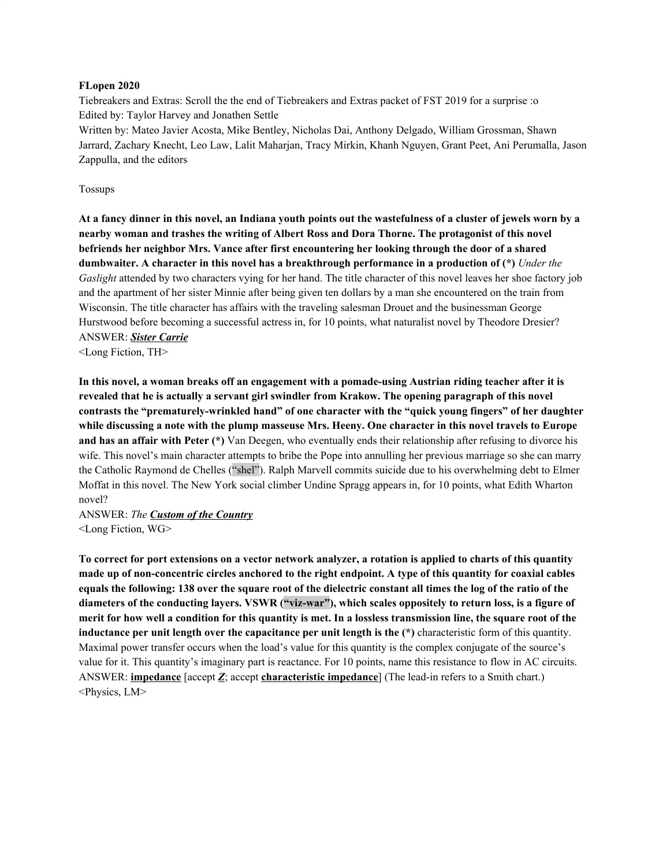#### **FLopen 2020**

Tiebreakers and Extras: Scroll the the end of Tiebreakers and Extras packet of FST 2019 for a surprise :o Edited by: Taylor Harvey and Jonathen Settle

Written by: Mateo Javier Acosta, Mike Bentley, Nicholas Dai, Anthony Delgado, William Grossman, Shawn Jarrard, Zachary Knecht, Leo Law, Lalit Maharjan, Tracy Mirkin, Khanh Nguyen, Grant Peet, Ani Perumalla, Jason Zappulla, and the editors

#### Tossups

At a fancy dinner in this novel, an Indiana youth points out the wastefulness of a cluster of jewels worn by a **nearby woman and trashes the writing of Albert Ross and Dora Thorne. The protagonist of this novel befriends her neighbor Mrs. Vance after first encountering her looking through the door of a shared dumbwaiter. A character in this novel has a breakthrough performance in a production of (\*)** *Under the Gaslight* attended by two characters vying for her hand. The title character of this novel leaves her shoe factory job and the apartment of her sister Minnie after being given ten dollars by a man she encountered on the train from Wisconsin. The title character has affairs with the traveling salesman Drouet and the businessman George Hurstwood before becoming a successful actress in, for 10 points, what naturalist novel by Theodore Dresier? ANSWER: *Sister Carrie*

<Long Fiction, TH>

In this novel, a woman breaks off an engagement with a pomade-using Austrian riding teacher after it is **revealed that he is actually a servant girl swindler from Krakow. The opening paragraph of this novel contrasts the "prematurely-wrinkled hand" of one character with the "quick young fingers" of her daughter** while discussing a note with the plump masseuse Mrs. Heeny. One character in this novel travels to Europe **and has an affair with Peter (\*)** Van Deegen, who eventually ends their relationship after refusing to divorce his wife. This novel's main character attempts to bribe the Pope into annulling her previous marriage so she can marry the Catholic Raymond de Chelles ("shel"). Ralph Marvell commits suicide due to his overwhelming debt to Elmer Moffat in this novel. The New York social climber Undine Spragg appears in, for 10 points, what Edith Wharton novel?

ANSWER: *The Custom of the Country* <Long Fiction, WG>

To correct for port extensions on a vector network analyzer, a rotation is applied to charts of this quantity made up of non-concentric circles anchored to the right endpoint. A type of this quantity for coaxial cables equals the following: 138 over the square root of the dielectric constant all times the log of the ratio of the diameters of the conducting layers. VSWR ("viz-war"), which scales oppositely to return loss, is a figure of merit for how well a condition for this quantity is met. In a lossless transmission line, the square root of the **inductance per unit length over the capacitance per unit length is the (\*)** characteristic form of this quantity. Maximal power transfer occurs when the load's value for this quantity is the complex conjugate of the source's value for it. This quantity's imaginary part is reactance. For 10 points, name this resistance to flow in AC circuits. ANSWER: **impedance** [accept *Z*; accept **characteristic impedance**] (The lead-in refers to a Smith chart.) <Physics, LM>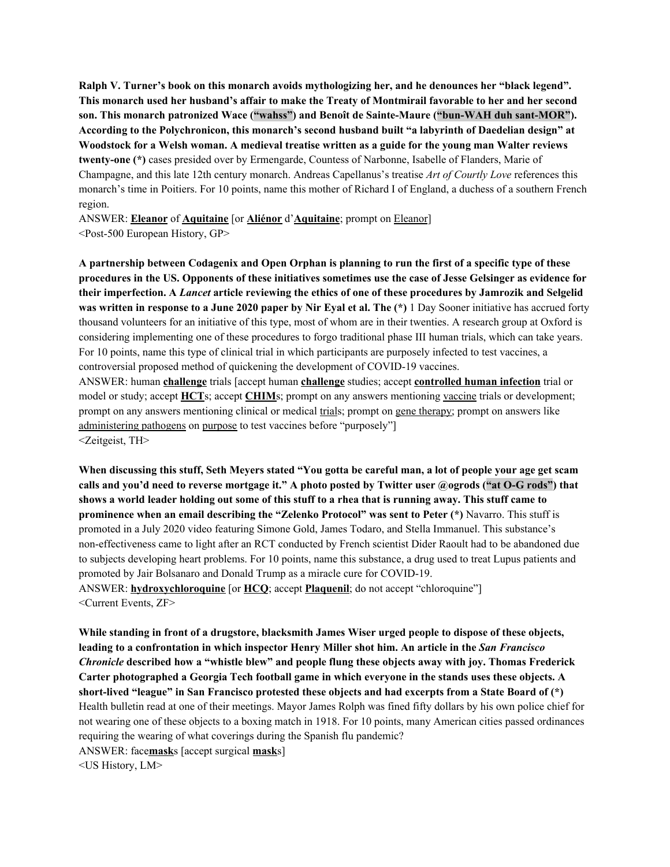**Ralph V. Turner's book on this monarch avoids mythologizing her, and he denounces her "black legend".** This monarch used her husband's affair to make the Treaty of Montmirail favorable to her and her second **son. This monarch patronized Wace ("wahss") and Benoît de Sainte-Maure ("bun-WAH duh sant-MOR"). According to the Polychronicon, this monarch's second husband built "a labyrinth of Daedelian design" at** Woodstock for a Welsh woman. A medieval treatise written as a guide for the young man Walter reviews **twenty-one (\*)** cases presided over by Ermengarde, Countess of Narbonne, Isabelle of Flanders, Marie of Champagne, and this late 12th century monarch. Andreas Capellanus's treatise *Art of Courtly Love* references this monarch's time in Poitiers. For 10 points, name this mother of Richard I of England, a duchess of a southern French region.

ANSWER: **Eleanor** of **Aquitaine** [or **Aliénor** d'**Aquitaine**; prompt on Eleanor] <Post-500 European History, GP>

A partnership between Codagenix and Open Orphan is planning to run the first of a specific type of these procedures in the US. Opponents of these initiatives sometimes use the case of Jesse Gelsinger as evidence for their imperfection. A Lancet article reviewing the ethics of one of these procedures by Jamrozik and Selgelid was written in response to a June 2020 paper by Nir Eyal et al. The (\*) 1 Day Sooner initiative has accrued forty thousand volunteers for an initiative of this type, most of whom are in their twenties. A research group at Oxford is considering implementing one of these procedures to forgo traditional phase III human trials, which can take years. For 10 points, name this type of clinical trial in which participants are purposely infected to test vaccines, a controversial proposed method of quickening the development of COVID-19 vaccines.

ANSWER: human **challenge** trials [accept human **challenge** studies; accept **controlled human infection** trial or model or study; accept **HCT**s; accept **CHIM**s; prompt on any answers mentioning vaccine trials or development; prompt on any answers mentioning clinical or medical trials; prompt on gene therapy; prompt on answers like administering pathogens on purpose to test vaccines before "purposely"] <Zeitgeist, TH>

When discussing this stuff, Seth Meyers stated "You gotta be careful man, a lot of people your age get scam calls and you'd need to reverse mortgage it." A photo posted by Twitter user @ogrods ("at O-G rods") that shows a world leader holding out some of this stuff to a rhea that is running away. This stuff came to **prominence when an email describing the "Zelenko Protocol" was sent to Peter (\*)** Navarro. This stuff is promoted in a July 2020 video featuring Simone Gold, James Todaro, and Stella Immanuel. This substance's non-effectiveness came to light after an RCT conducted by French scientist Dider Raoult had to be abandoned due to subjects developing heart problems. For 10 points, name this substance, a drug used to treat Lupus patients and promoted by Jair Bolsanaro and Donald Trump as a miracle cure for COVID-19. ANSWER: **hydroxychloroquine** [or **HCQ**; accept **Plaquenil**; do not accept "chloroquine"] <Current Events, ZF>

**While standing in front of a drugstore, blacksmith James Wiser urged people to dispose of these objects, leading to a confrontation in which inspector Henry Miller shot him. An article in the** *San Francisco Chronicle* **described how a "whistle blew" and people flung these objects away with joy. Thomas Frederick Carter photographed a Georgia Tech football game in which everyone in the stands uses these objects. A short-lived "league" in San Francisco protested these objects and had excerpts from a State Board of (\*)** Health bulletin read at one of their meetings. Mayor James Rolph was fined fifty dollars by his own police chief for not wearing one of these objects to a boxing match in 1918. For 10 points, many American cities passed ordinances requiring the wearing of what coverings during the Spanish flu pandemic? ANSWER: face**mask**s [accept surgical **mask**s]

<US History, LM>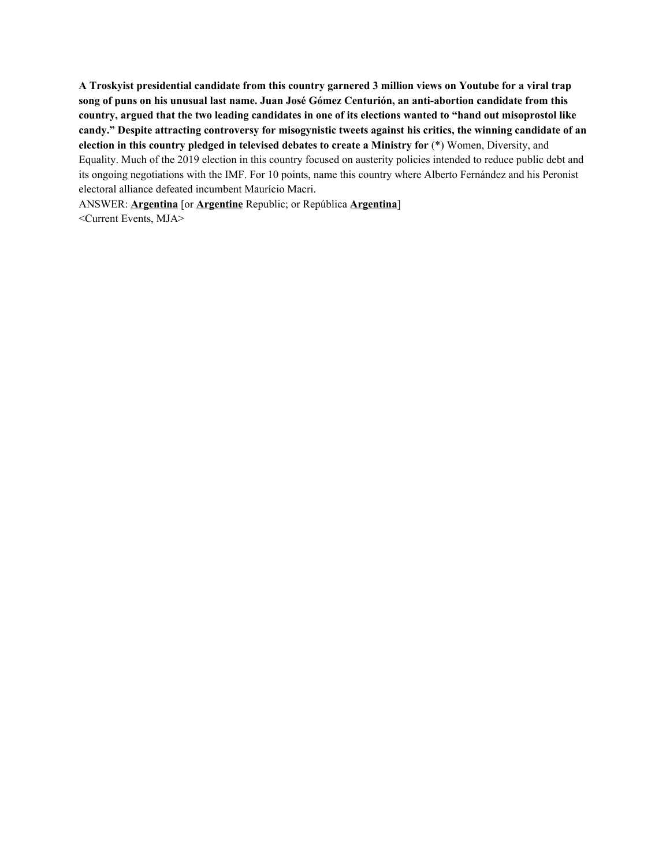**A Troskyist presidential candidate from this country garnered 3 million views on Youtube for a viral trap song of puns on his unusual last name. Juan José Gómez Centurión, an anti-abortion candidate from this** country, argued that the two leading candidates in one of its elections wanted to "hand out misoprostol like **candy." Despite attracting controversy for misogynistic tweets against his critics, the winning candidate of an election in this country pledged in televised debates to create a Ministry for** (\*) Women, Diversity, and Equality. Much of the 2019 election in this country focused on austerity policies intended to reduce public debt and its ongoing negotiations with the IMF. For 10 points, name this country where Alberto Fernández and his Peronist electoral alliance defeated incumbent Maurício Macri.

ANSWER: **Argentina** [or **Argentine** Republic; or República **Argentina**] <Current Events, MJA>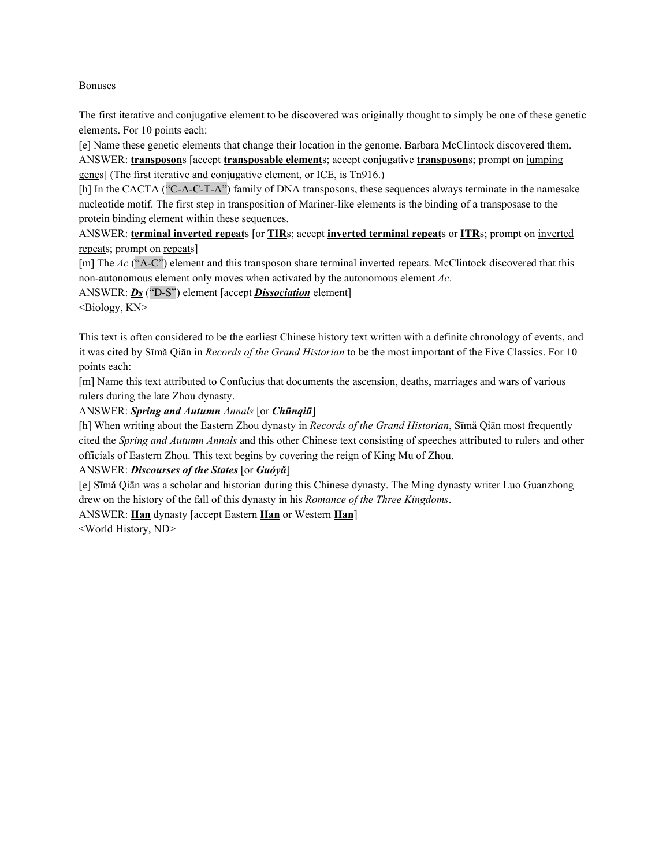#### Bonuses

The first iterative and conjugative element to be discovered was originally thought to simply be one of these genetic elements. For 10 points each:

[e] Name these genetic elements that change their location in the genome. Barbara McClintock discovered them. ANSWER: **transposon**s [accept **transposable element**s; accept conjugative **transposon**s; prompt on jumping genes] (The first iterative and conjugative element, or ICE, is Tn916.)

[h] In the CACTA ("C-A-C-T-A") family of DNA transposons, these sequences always terminate in the namesake nucleotide motif. The first step in transposition of Mariner-like elements is the binding of a transposase to the protein binding element within these sequences.

ANSWER: **terminal inverted repeat**s [or **TIR**s; accept **inverted terminal repeat**s or **ITR**s; prompt on inverted repeats; prompt on repeats]

[m] The *Ac* ("A-C") element and this transposon share terminal inverted repeats. McClintock discovered that this non-autonomous element only moves when activated by the autonomous element *Ac*.

ANSWER: *Ds* ("D-S") element [accept *Dissociation* element]

<Biology, KN>

This text is often considered to be the earliest Chinese history text written with a definite chronology of events, and it was cited by Sīmǎ Qiān in *Records of the Grand Historian* to be the most important of the Five Classics. For 10 points each:

[m] Name this text attributed to Confucius that documents the ascension, deaths, marriages and wars of various rulers during the late Zhou dynasty.

ANSWER: *Spring and Autumn Annals* [or *Chūnqiū*]

[h] When writing about the Eastern Zhou dynasty in *Records of the Grand Historian*, Sīmǎ Qiān most frequently cited the *Spring and Autumn Annals* and this other Chinese text consisting of speeches attributed to rulers and other officials of Eastern Zhou. This text begins by covering the reign of King Mu of Zhou.

ANSWER: *Discourses of the States* [or *Guóyǔ*]

[e] Sīmǎ Qiān was a scholar and historian during this Chinese dynasty. The Ming dynasty writer Luo Guanzhong drew on the history of the fall of this dynasty in his *Romance of the Three Kingdoms*.

ANSWER: **Han** dynasty [accept Eastern **Han** or Western **Han**]

<World History, ND>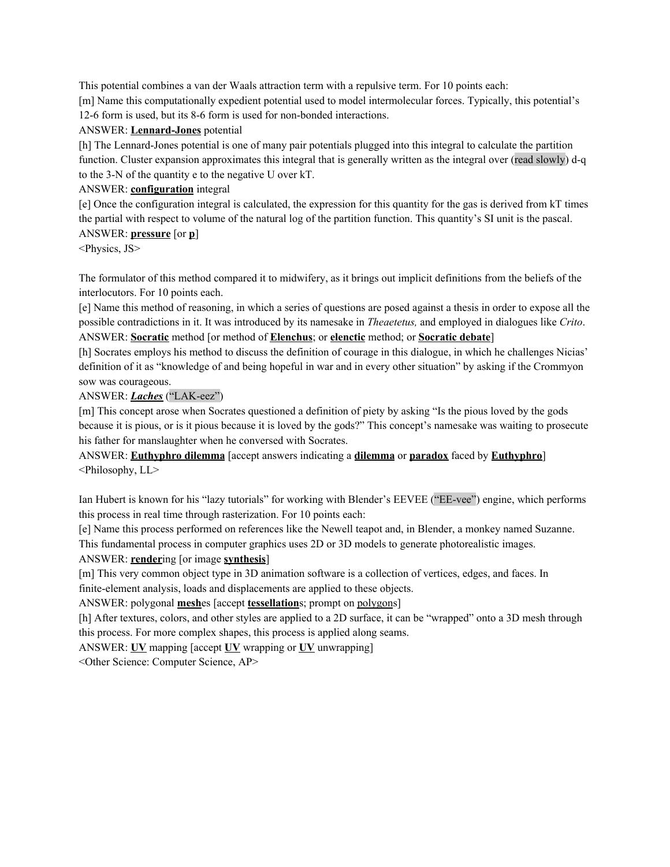This potential combines a van der Waals attraction term with a repulsive term. For 10 points each:

[m] Name this computationally expedient potential used to model intermolecular forces. Typically, this potential's 12-6 form is used, but its 8-6 form is used for non-bonded interactions.

#### ANSWER: **Lennard-Jones** potential

[h] The Lennard-Jones potential is one of many pair potentials plugged into this integral to calculate the partition function. Cluster expansion approximates this integral that is generally written as the integral over (read slowly) d-q to the 3-N of the quantity e to the negative U over kT.

#### ANSWER: **configuration** integral

[e] Once the configuration integral is calculated, the expression for this quantity for the gas is derived from kT times the partial with respect to volume of the natural log of the partition function. This quantity's SI unit is the pascal. ANSWER: **pressure** [or **p**]

<Physics, JS>

The formulator of this method compared it to midwifery, as it brings out implicit definitions from the beliefs of the interlocutors. For 10 points each.

[e] Name this method of reasoning, in which a series of questions are posed against a thesis in order to expose all the possible contradictions in it. It was introduced by its namesake in *Theaetetus,* and employed in dialogues like *Crito*. ANSWER: **Socratic** method [or method of **Elenchus**; or **elenctic** method; or **Socratic debate**]

[h] Socrates employs his method to discuss the definition of courage in this dialogue, in which he challenges Nicias' definition of it as "knowledge of and being hopeful in war and in every other situation" by asking if the Crommyon sow was courageous.

#### ANSWER: *Laches* ("LAK-eez")

[m] This concept arose when Socrates questioned a definition of piety by asking "Is the pious loved by the gods because it is pious, or is it pious because it is loved by the gods?" This concept's namesake was waiting to prosecute his father for manslaughter when he conversed with Socrates.

ANSWER: **Euthyphro dilemma** [accept answers indicating a **dilemma** or **paradox** faced by **Euthyphro**] <Philosophy, LL>

Ian Hubert is known for his "lazy tutorials" for working with Blender's EEVEE ("EE-vee") engine, which performs this process in real time through rasterization. For 10 points each:

[e] Name this process performed on references like the Newell teapot and, in Blender, a monkey named Suzanne. This fundamental process in computer graphics uses 2D or 3D models to generate photorealistic images.

#### ANSWER: **render**ing [or image **synthesis**]

[m] This very common object type in 3D animation software is a collection of vertices, edges, and faces. In finite-element analysis, loads and displacements are applied to these objects.

ANSWER: polygonal **mesh**es [accept **tessellation**s; prompt on polygons]

[h] After textures, colors, and other styles are applied to a 2D surface, it can be "wrapped" onto a 3D mesh through this process. For more complex shapes, this process is applied along seams.

ANSWER: **UV** mapping [accept **UV** wrapping or **UV** unwrapping]

<Other Science: Computer Science, AP>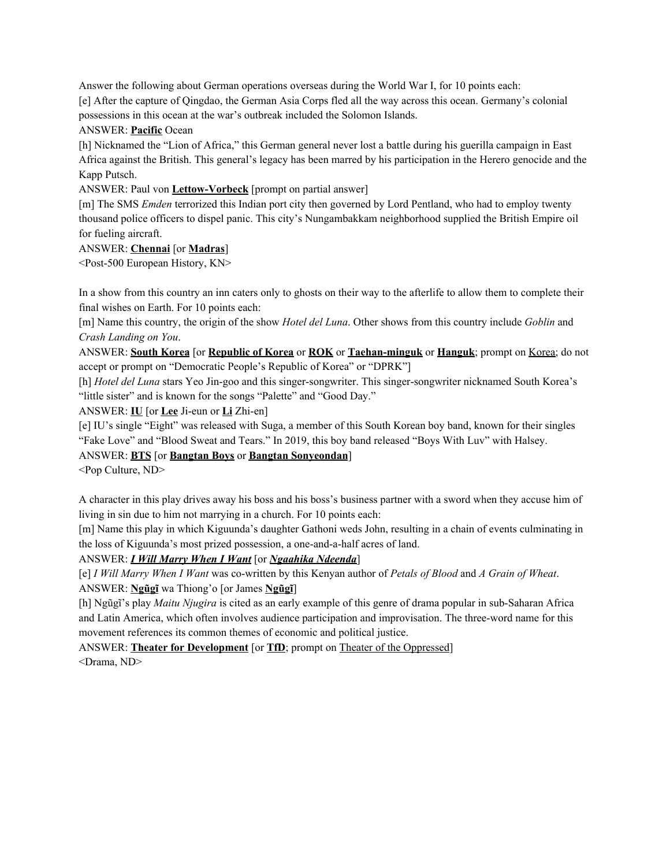Answer the following about German operations overseas during the World War I, for 10 points each:

[e] After the capture of Qingdao, the German Asia Corps fled all the way across this ocean. Germany's colonial possessions in this ocean at the war's outbreak included the Solomon Islands.

# ANSWER: **Pacific** Ocean

[h] Nicknamed the "Lion of Africa," this German general never lost a battle during his guerilla campaign in East Africa against the British. This general's legacy has been marred by his participation in the Herero genocide and the Kapp Putsch.

ANSWER: Paul von **Lettow-Vorbeck** [prompt on partial answer]

[m] The SMS *Emden* terrorized this Indian port city then governed by Lord Pentland, who had to employ twenty thousand police officers to dispel panic. This city's Nungambakkam neighborhood supplied the British Empire oil for fueling aircraft.

# ANSWER: **Chennai** [or **Madras**]

<Post-500 European History, KN>

In a show from this country an inn caters only to ghosts on their way to the afterlife to allow them to complete their final wishes on Earth. For 10 points each:

[m] Name this country, the origin of the show *Hotel del Luna*. Other shows from this country include *Goblin* and *Crash Landing on You*.

ANSWER: **South Korea** [or **Republic of Korea** or **ROK** or **Taehan-minguk** or **Hanguk**; prompt on Korea; do not accept or prompt on "Democratic People's Republic of Korea" or "DPRK"]

[h] *Hotel del Luna* stars Yeo Jin-goo and this singer-songwriter. This singer-songwriter nicknamed South Korea's "little sister" and is known for the songs "Palette" and "Good Day."

ANSWER: **IU** [or **Lee** Ji-eun or **Li** Zhi-en]

[e] IU's single "Eight" was released with Suga, a member of this South Korean boy band, known for their singles "Fake Love" and "Blood Sweat and Tears." In 2019, this boy band released "Boys With Luv" with Halsey.

# ANSWER: **BTS** [or **Bangtan Boys** or **Bangtan Sonyeondan**]

<Pop Culture, ND>

A character in this play drives away his boss and his boss's business partner with a sword when they accuse him of living in sin due to him not marrying in a church. For 10 points each:

[m] Name this play in which Kiguunda's daughter Gathoni weds John, resulting in a chain of events culminating in the loss of Kiguunda's most prized possession, a one-and-a-half acres of land.

ANSWER: *I Will Marry When I Want* [or *Ngaahika Ndeenda*]

[e] *I Will Marry When I Want* was co-written by this Kenyan author of *Petals of Blood* and *A Grain of Wheat*. ANSWER: **Ngũgĩ** wa Thiong'o [or James **Ngũgĩ**]

[h] Ngũgĩ's play *Maitu Njugira* is cited as an early example of this genre of drama popular in sub-Saharan Africa and Latin America, which often involves audience participation and improvisation. The three-word name for this movement references its common themes of economic and political justice.

ANSWER: **Theater for Development** [or **TfD**; prompt on Theater of the Oppressed] <Drama, ND>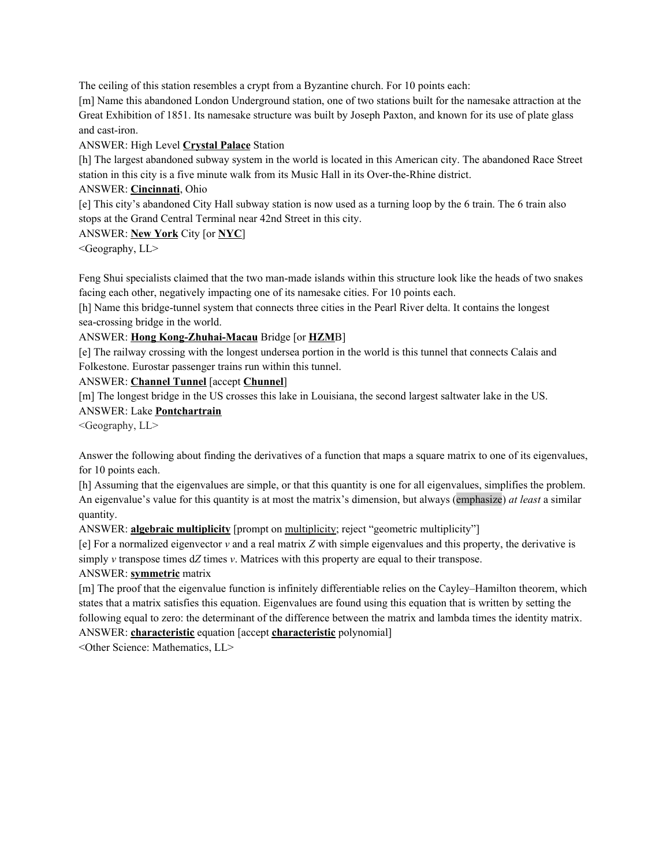The ceiling of this station resembles a crypt from a Byzantine church. For 10 points each:

[m] Name this abandoned London Underground station, one of two stations built for the namesake attraction at the Great Exhibition of 1851. Its namesake structure was built by Joseph Paxton, and known for its use of plate glass and cast-iron.

# ANSWER: High Level **Crystal Palace** Station

[h] The largest abandoned subway system in the world is located in this American city. The abandoned Race Street station in this city is a five minute walk from its Music Hall in its Over-the-Rhine district.

# ANSWER: **Cincinnati**, Ohio

[e] This city's abandoned City Hall subway station is now used as a turning loop by the 6 train. The 6 train also stops at the Grand Central Terminal near 42nd Street in this city.

# ANSWER: **New York** City [or **NYC**]

<Geography, LL>

Feng Shui specialists claimed that the two man-made islands within this structure look like the heads of two snakes facing each other, negatively impacting one of its namesake cities. For 10 points each.

[h] Name this bridge-tunnel system that connects three cities in the Pearl River delta. It contains the longest sea-crossing bridge in the world.

# ANSWER: **Hong Kong-Zhuhai-Macau** Bridge [or **HZM**B]

[e] The railway crossing with the longest undersea portion in the world is this tunnel that connects Calais and Folkestone. Eurostar passenger trains run within this tunnel.

# ANSWER: **Channel Tunnel** [accept **Chunnel**]

[m] The longest bridge in the US crosses this lake in Louisiana, the second largest saltwater lake in the US.

ANSWER: Lake **Pontchartrain**

<Geography, LL>

Answer the following about finding the derivatives of a function that maps a square matrix to one of its eigenvalues, for 10 points each.

[h] Assuming that the eigenvalues are simple, or that this quantity is one for all eigenvalues, simplifies the problem. An eigenvalue's value for this quantity is at most the matrix's dimension, but always (emphasize) *at least* a similar quantity.

ANSWER: **algebraic multiplicity** [prompt on multiplicity; reject "geometric multiplicity"]

[e] For a normalized eigenvector  $v$  and a real matrix  $Z$  with simple eigenvalues and this property, the derivative is simply *v* transpose times d*Z* times *v*. Matrices with this property are equal to their transpose.

# ANSWER: **symmetric** matrix

[m] The proof that the eigenvalue function is infinitely differentiable relies on the Cayley–Hamilton theorem, which states that a matrix satisfies this equation. Eigenvalues are found using this equation that is written by setting the following equal to zero: the determinant of the difference between the matrix and lambda times the identity matrix. ANSWER: **characteristic** equation [accept **characteristic** polynomial]

<Other Science: Mathematics, LL>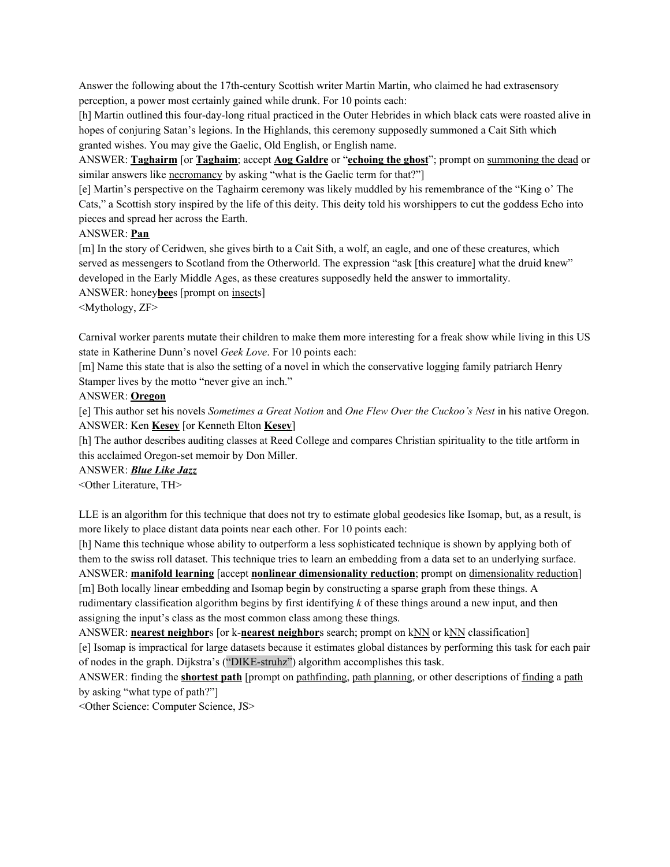Answer the following about the 17th-century Scottish writer Martin Martin, who claimed he had extrasensory perception, a power most certainly gained while drunk. For 10 points each:

[h] Martin outlined this four-day-long ritual practiced in the Outer Hebrides in which black cats were roasted alive in hopes of conjuring Satan's legions. In the Highlands, this ceremony supposedly summoned a Cait Sith which granted wishes. You may give the Gaelic, Old English, or English name.

ANSWER: **Taghairm** [or **Taghaim**; accept **Aog Galdre** or "**echoing the ghost**"; prompt on summoning the dead or similar answers like necromancy by asking "what is the Gaelic term for that?"]

[e] Martin's perspective on the Taghairm ceremony was likely muddled by his remembrance of the "King o' The Cats," a Scottish story inspired by the life of this deity. This deity told his worshippers to cut the goddess Echo into pieces and spread her across the Earth.

### ANSWER: **Pan**

[m] In the story of Ceridwen, she gives birth to a Cait Sith, a wolf, an eagle, and one of these creatures, which served as messengers to Scotland from the Otherworld. The expression "ask [this creature] what the druid knew" developed in the Early Middle Ages, as these creatures supposedly held the answer to immortality.

ANSWER: honey**bee**s [prompt on insects]

<Mythology, ZF>

Carnival worker parents mutate their children to make them more interesting for a freak show while living in this US state in Katherine Dunn's novel *Geek Love*. For 10 points each:

[m] Name this state that is also the setting of a novel in which the conservative logging family patriarch Henry Stamper lives by the motto "never give an inch."

#### ANSWER: **Oregon**

[e] This author set his novels *Sometimes a Great Notion* and *One Flew Over the Cuckoo's Nest* in his native Oregon. ANSWER: Ken **Kesey** [or Kenneth Elton **Kesey**]

[h] The author describes auditing classes at Reed College and compares Christian spirituality to the title artform in this acclaimed Oregon-set memoir by Don Miller.

ANSWER: *Blue Like Jazz*

<Other Literature, TH>

LLE is an algorithm for this technique that does not try to estimate global geodesics like Isomap, but, as a result, is more likely to place distant data points near each other. For 10 points each:

[h] Name this technique whose ability to outperform a less sophisticated technique is shown by applying both of them to the swiss roll dataset. This technique tries to learn an embedding from a data set to an underlying surface. ANSWER: **manifold learning** [accept **nonlinear dimensionality reduction**; prompt on dimensionality reduction] [m] Both locally linear embedding and Isomap begin by constructing a sparse graph from these things. A

rudimentary classification algorithm begins by first identifying *k* of these things around a new input, and then assigning the input's class as the most common class among these things.

ANSWER: **nearest neighbor**s [or k-**nearest neighbor**s search; prompt on kNN or kNN classification] [e] Isomap is impractical for large datasets because it estimates global distances by performing this task for each pair of nodes in the graph. Dijkstra's ("DIKE-struhz") algorithm accomplishes this task.

ANSWER: finding the **shortest path** [prompt on pathfinding, path planning, or other descriptions of finding a path by asking "what type of path?"]

<Other Science: Computer Science, JS>